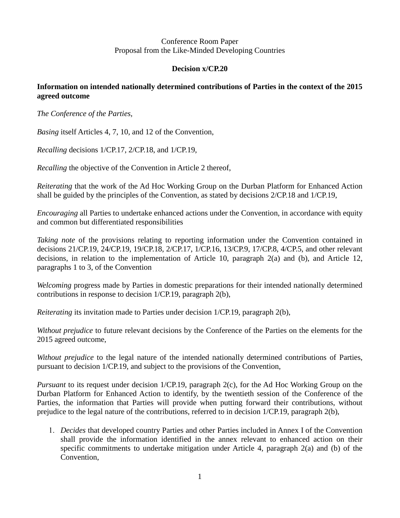#### Conference Room Paper Proposal from the Like-Minded Developing Countries

## **Decision x/CP.20**

# **Information on intended nationally determined contributions of Parties in the context of the 2015 agreed outcome**

*The Conference of the Parties,*

*Basing* itself Articles 4, 7, 10, and 12 of the Convention,

*Recalling* decisions 1/CP.17, 2/CP.18, and 1/CP.19,

*Recalling* the objective of the Convention in Article 2 thereof,

*Reiterating* that the work of the Ad Hoc Working Group on the Durban Platform for Enhanced Action shall be guided by the principles of the Convention, as stated by decisions 2/CP.18 and 1/CP.19,

*Encouraging* all Parties to undertake enhanced actions under the Convention, in accordance with equity and common but differentiated responsibilities

*Taking note* of the provisions relating to reporting information under the Convention contained in decisions 21/CP.19, 24/CP.19, 19/CP.18, 2/CP.17, 1/CP.16, 13/CP.9, 17/CP.8, 4/CP.5, and other relevant decisions, in relation to the implementation of Article 10, paragraph 2(a) and (b), and Article 12, paragraphs 1 to 3, of the Convention

*Welcoming* progress made by Parties in domestic preparations for their intended nationally determined contributions in response to decision 1/CP.19, paragraph 2(b),

*Reiterating* its invitation made to Parties under decision 1/CP.19, paragraph 2(b),

*Without prejudice* to future relevant decisions by the Conference of the Parties on the elements for the 2015 agreed outcome,

*Without prejudice* to the legal nature of the intended nationally determined contributions of Parties, pursuant to decision 1/CP.19, and subject to the provisions of the Convention,

*Pursuant* to its request under decision 1/CP.19, paragraph 2(c), for the Ad Hoc Working Group on the Durban Platform for Enhanced Action to identify, by the twentieth session of the Conference of the Parties, the information that Parties will provide when putting forward their contributions, without prejudice to the legal nature of the contributions, referred to in decision 1/CP.19, paragraph 2(b),

 *Decides* that developed country Parties and other Parties included in Annex I of the Convention shall provide the information identified in the annex relevant to enhanced action on their specific commitments to undertake mitigation under Article 4, paragraph  $2(a)$  and (b) of the Convention,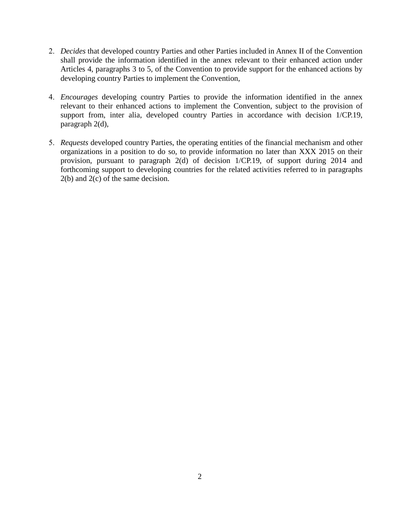- *Decides* that developed country Parties and other Parties included in Annex II of the Convention shall provide the information identified in the annex relevant to their enhanced action under Articles 4, paragraphs 3 to 5, of the Convention to provide support for the enhanced actions by developing country Parties to implement the Convention,
- *Encourages* developing country Parties to provide the information identified in the annex relevant to their enhanced actions to implement the Convention, subject to the provision of support from, inter alia, developed country Parties in accordance with decision 1/CP.19, paragraph 2(d),
- *Requests* developed country Parties, the operating entities of the financial mechanism and other organizations in a position to do so, to provide information no later than XXX 2015 on their provision, pursuant to paragraph 2(d) of decision 1/CP.19, of support during 2014 and forthcoming support to developing countries for the related activities referred to in paragraphs 2(b) and 2(c) of the same decision.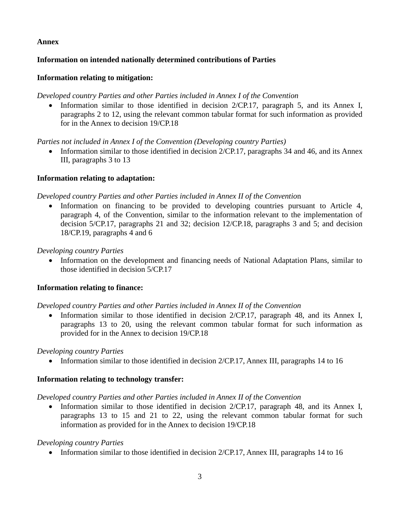## **Annex**

# **Information on intended nationally determined contributions of Parties**

## **Information relating to mitigation:**

## *Developed country Parties and other Parties included in Annex I of the Convention*

• Information similar to those identified in decision  $2/CP.17$ , paragraph 5, and its Annex I, paragraphs 2 to 12, using the relevant common tabular format for such information as provided for in the Annex to decision 19/CP.18

*Parties not included in Annex I of the Convention (Developing country Parties)*

• Information similar to those identified in decision 2/CP.17, paragraphs 34 and 46, and its Annex III, paragraphs 3 to 13

## **Information relating to adaptation:**

## *Developed country Parties and other Parties included in Annex II of the Conventio*n

• Information on financing to be provided to developing countries pursuant to Article 4, paragraph 4, of the Convention, similar to the information relevant to the implementation of decision 5/CP.17, paragraphs 21 and 32; decision 12/CP.18, paragraphs 3 and 5; and decision 18/CP.19, paragraphs 4 and 6

## *Developing country Parties*

 Information on the development and financing needs of National Adaptation Plans, similar to those identified in decision 5/CP.17

# **Information relating to finance:**

*Developed country Parties and other Parties included in Annex II of the Convention*

• Information similar to those identified in decision 2/CP.17, paragraph 48, and its Annex I, paragraphs 13 to 20, using the relevant common tabular format for such information as provided for in the Annex to decision 19/CP.18

#### *Developing country Parties*

• Information similar to those identified in decision 2/CP.17, Annex III, paragraphs 14 to 16

#### **Information relating to technology transfer:**

#### *Developed country Parties and other Parties included in Annex II of the Convention*

• Information similar to those identified in decision 2/CP.17, paragraph 48, and its Annex I, paragraphs 13 to 15 and 21 to 22, using the relevant common tabular format for such information as provided for in the Annex to decision 19/CP.18

#### *Developing country Parties*

• Information similar to those identified in decision 2/CP.17, Annex III, paragraphs 14 to 16